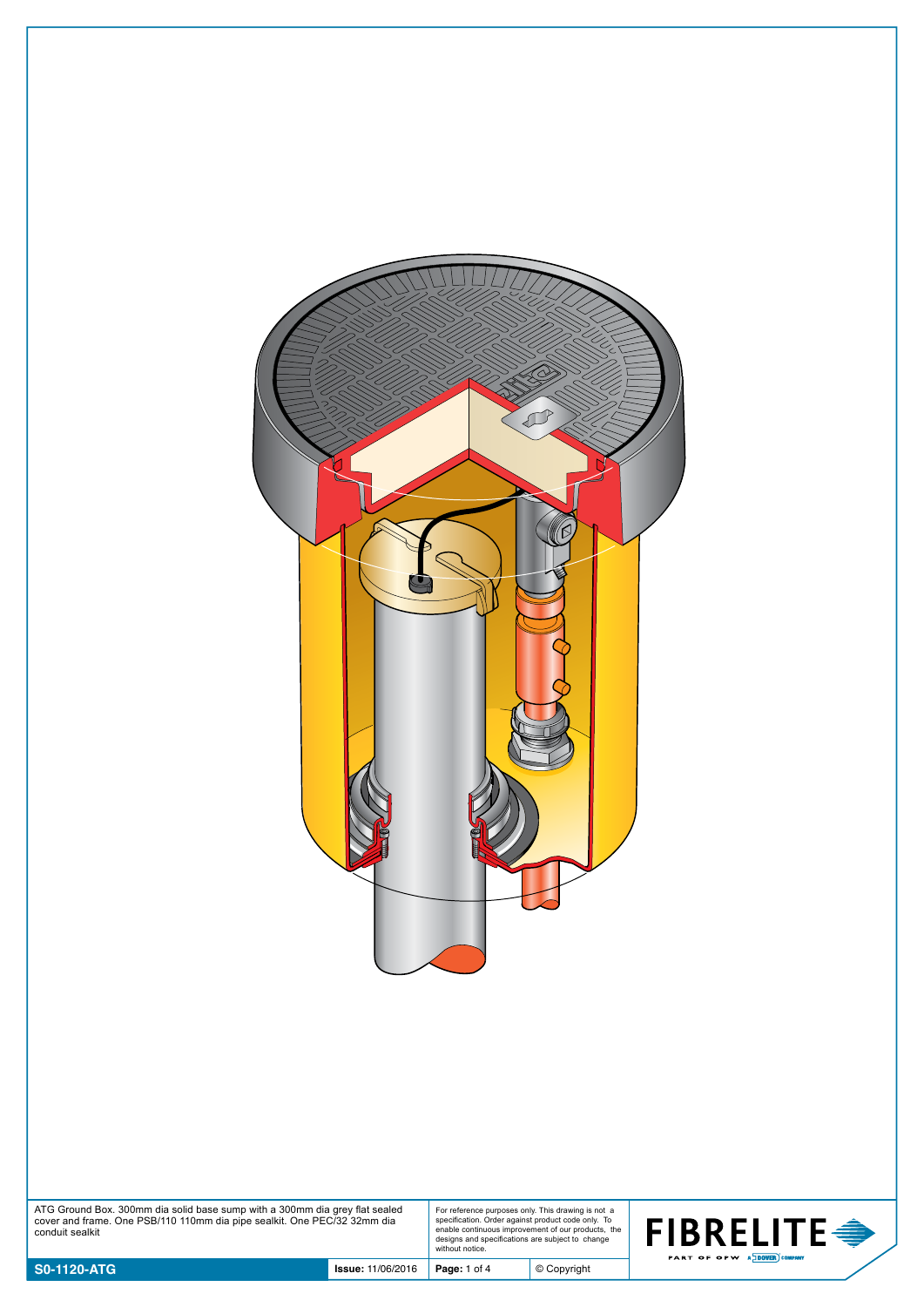

| ATG Ground Box. 300mm dia solid base sump with a 300mm dia grey flat sealed |  |
|-----------------------------------------------------------------------------|--|
| cover and frame. One PSB/110 110mm dia pipe sealkit. One PEC/32 32mm dia    |  |
| conduit sealkit                                                             |  |

For reference purposes only. This drawing is not a specification. Order against product code only. To enable continuous improvement of our products, the designs and specifications are subject to change without notice.

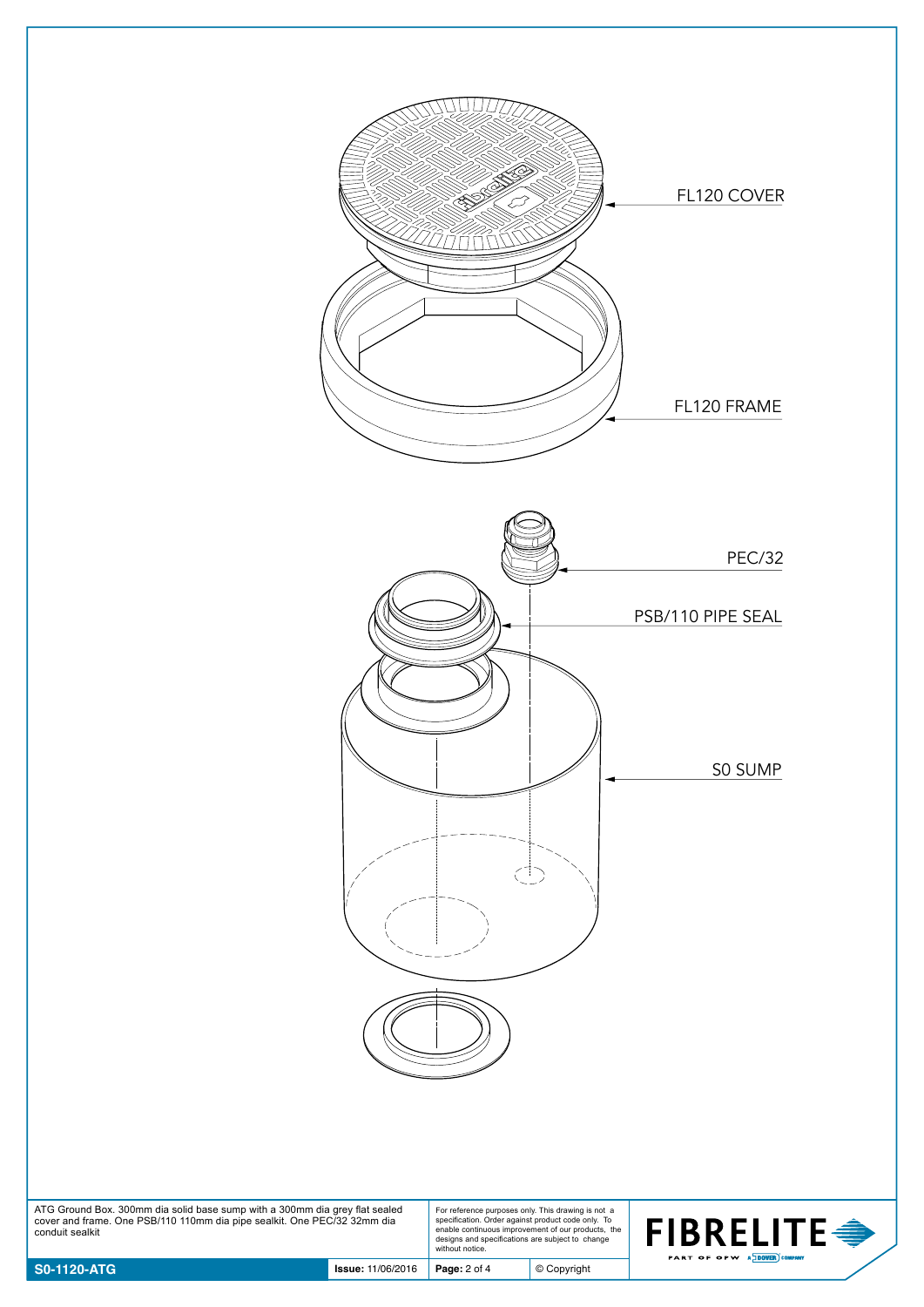



ATG Ground Box. 300mm dia solid base sump with a 300mm dia grey flat sealed cover and frame. One PSB/110 110mm dia pipe sealkit. One PEC/32 32mm dia conduit sealkit

For reference purposes only. This drawing is not a specification. Order against product code only. To enable continuous improvement of our products, the designs and specifications are subject to change without notice.

© Copyright

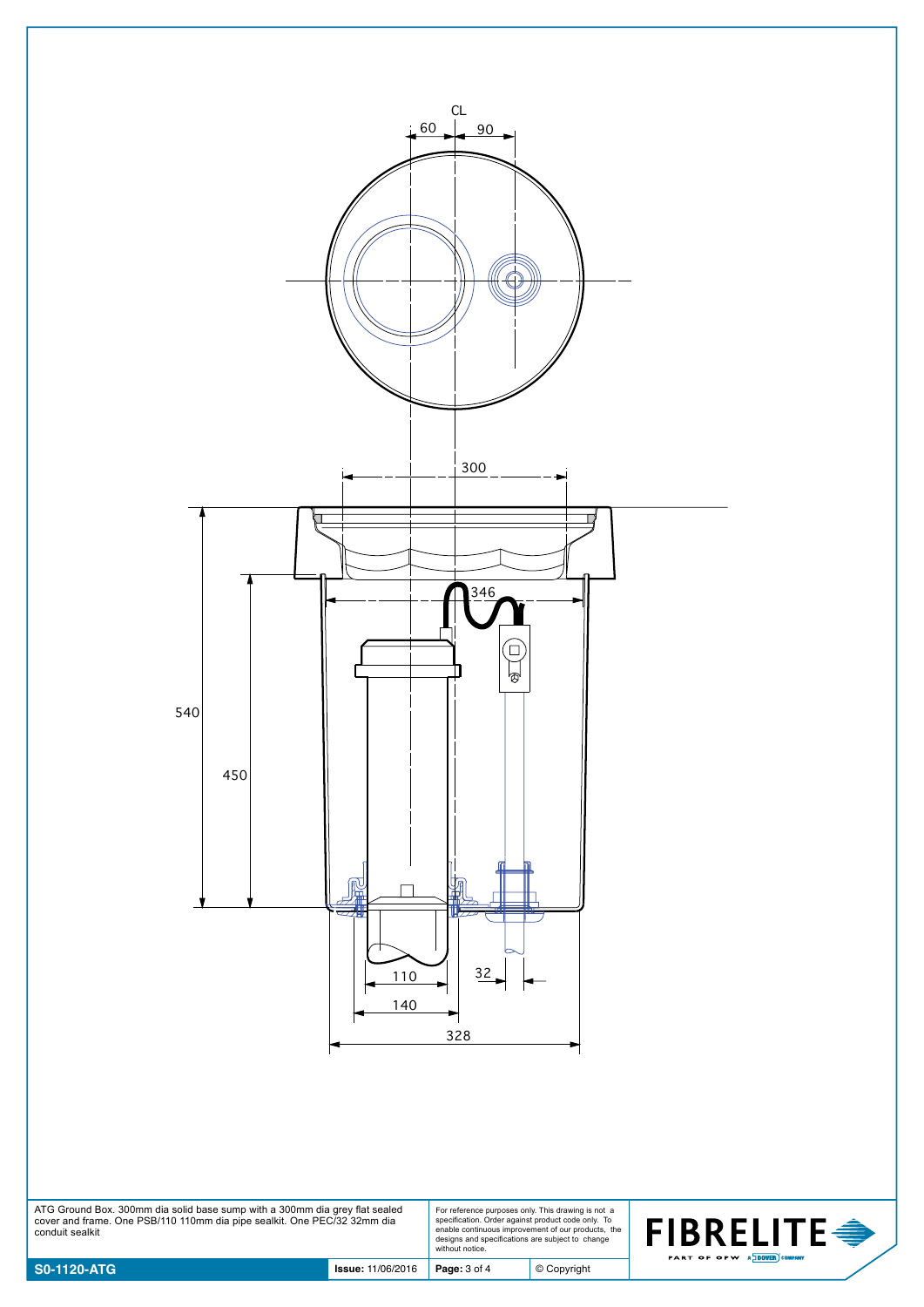